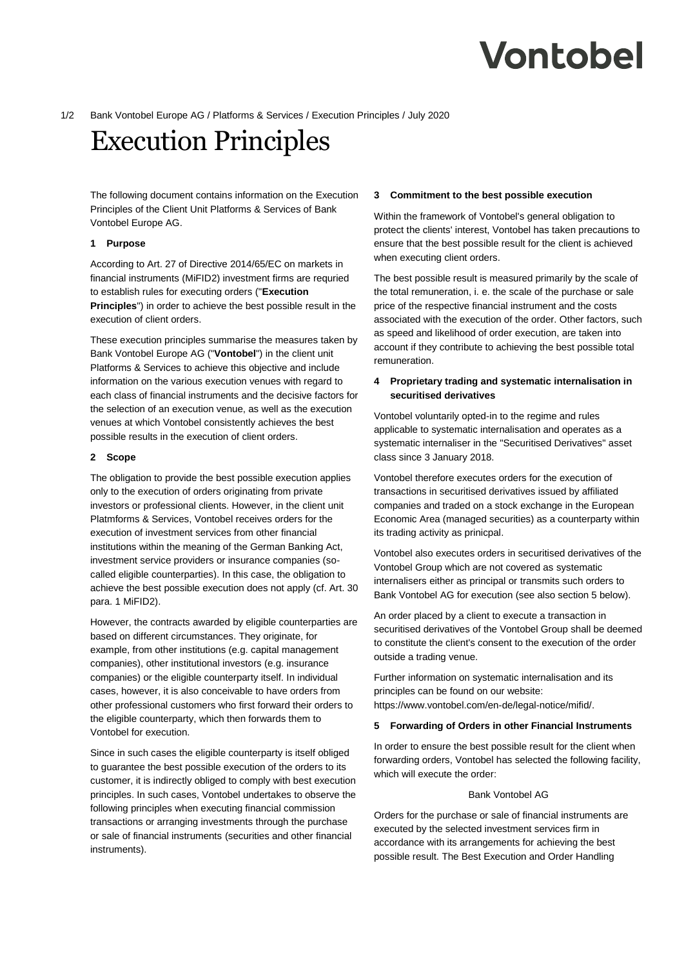# Vontobel

# 1/2 Bank Vontobel Europe AG / Platforms & Services / Execution Principles / July 2020

# Execution Principles

The following document contains information on the Execution Principles of the Client Unit Platforms & Services of Bank Vontobel Europe AG.

# **1 Purpose**

According to Art. 27 of Directive 2014/65/EC on markets in financial instruments (MiFID2) investment firms are requried to establish rules for executing orders ("**Execution Principles**") in order to achieve the best possible result in the execution of client orders.

These execution principles summarise the measures taken by Bank Vontobel Europe AG ("**Vontobel**") in the client unit Platforms & Services to achieve this objective and include information on the various execution venues with regard to each class of financial instruments and the decisive factors for the selection of an execution venue, as well as the execution venues at which Vontobel consistently achieves the best possible results in the execution of client orders.

# **2 Scope**

The obligation to provide the best possible execution applies only to the execution of orders originating from private investors or professional clients. However, in the client unit Platmforms & Services, Vontobel receives orders for the execution of investment services from other financial institutions within the meaning of the German Banking Act, investment service providers or insurance companies (socalled eligible counterparties). In this case, the obligation to achieve the best possible execution does not apply (cf. Art. 30 para. 1 MiFID2).

However, the contracts awarded by eligible counterparties are based on different circumstances. They originate, for example, from other institutions (e.g. capital management companies), other institutional investors (e.g. insurance companies) or the eligible counterparty itself. In individual cases, however, it is also conceivable to have orders from other professional customers who first forward their orders to the eligible counterparty, which then forwards them to Vontobel for execution.

Since in such cases the eligible counterparty is itself obliged to guarantee the best possible execution of the orders to its customer, it is indirectly obliged to comply with best execution principles. In such cases, Vontobel undertakes to observe the following principles when executing financial commission transactions or arranging investments through the purchase or sale of financial instruments (securities and other financial instruments).

# **3 Commitment to the best possible execution**

Within the framework of Vontobel's general obligation to protect the clients' interest, Vontobel has taken precautions to ensure that the best possible result for the client is achieved when executing client orders.

The best possible result is measured primarily by the scale of the total remuneration, i. e. the scale of the purchase or sale price of the respective financial instrument and the costs associated with the execution of the order. Other factors, such as speed and likelihood of order execution, are taken into account if they contribute to achieving the best possible total remuneration.

# **4 Proprietary trading and systematic internalisation in securitised derivatives**

Vontobel voluntarily opted-in to the regime and rules applicable to systematic internalisation and operates as a systematic internaliser in the "Securitised Derivatives" asset class since 3 January 2018.

Vontobel therefore executes orders for the execution of transactions in securitised derivatives issued by affiliated companies and traded on a stock exchange in the European Economic Area (managed securities) as a counterparty within its trading activity as prinicpal.

Vontobel also executes orders in securitised derivatives of the Vontobel Group which are not covered as systematic internalisers either as principal or transmits such orders to Bank Vontobel AG for execution (see also section 5 below).

An order placed by a client to execute a transaction in securitised derivatives of the Vontobel Group shall be deemed to constitute the client's consent to the execution of the order outside a trading venue.

Further information on systematic internalisation and its principles can be found on our website: https://www.vontobel.com/en-de/legal-notice/mifid/.

# **5 Forwarding of Orders in other Financial Instruments**

In order to ensure the best possible result for the client when forwarding orders, Vontobel has selected the following facility, which will execute the order:

#### Bank Vontobel AG

Orders for the purchase or sale of financial instruments are executed by the selected investment services firm in accordance with its arrangements for achieving the best possible result. The Best Execution and Order Handling